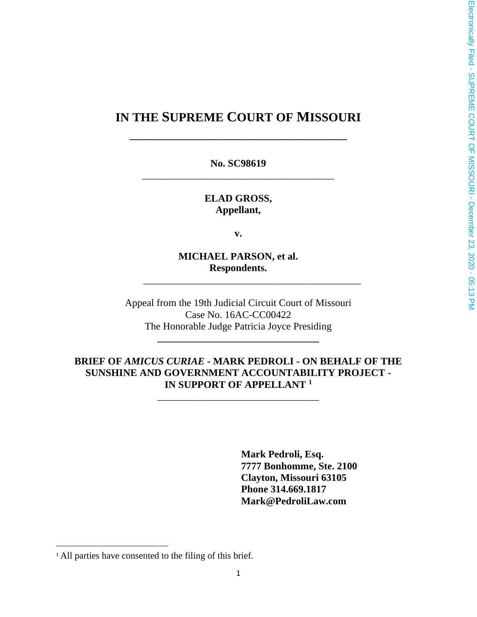# **IN THE SUPREME COURT OF MISSOURI**

**\_\_\_\_\_\_\_\_\_\_\_\_\_\_\_\_\_\_\_\_\_\_\_\_\_\_\_\_\_\_\_\_\_\_\_\_\_\_\_\_\_\_\_**

**No. SC98619** \_\_\_\_\_\_\_\_\_\_\_\_\_\_\_\_\_\_\_\_\_\_\_\_\_\_\_\_\_\_\_\_\_\_\_\_\_\_

> **ELAD GROSS, Appellant,**

> > **v.**

**MICHAEL PARSON, et al. Respondents.**

\_\_\_\_\_\_\_\_\_\_\_\_\_\_\_\_\_\_\_\_\_\_\_\_\_\_\_\_\_\_\_\_\_\_\_\_\_\_\_\_\_\_\_

Appeal from the 19th Judicial Circuit Court of Missouri Case No. 16AC-CC00422 The Honorable Judge Patricia Joyce Presiding

**\_\_\_\_\_\_\_\_\_\_\_\_\_\_\_\_\_\_\_\_\_\_\_\_\_\_\_\_\_\_\_\_**

### **BRIEF OF** *AMICUS CURIAE -* **MARK PEDROLI - ON BEHALF OF THE SUNSHINE AND GOVERNMENT ACCOUNTABILITY PROJECT - IN SUPPORT OF APPELLANT <sup>1</sup>**

\_\_\_\_\_\_\_\_\_\_\_\_\_\_\_\_\_\_\_\_\_\_\_\_\_\_\_\_\_\_\_\_

**Mark Pedroli, Esq. 7777 Bonhomme, Ste. 2100 Clayton, Missouri 63105 Phone 314.669.1817 Mark@PedroliLaw.com**

<sup>&</sup>lt;sup>1</sup> All parties have consented to the filing of this brief.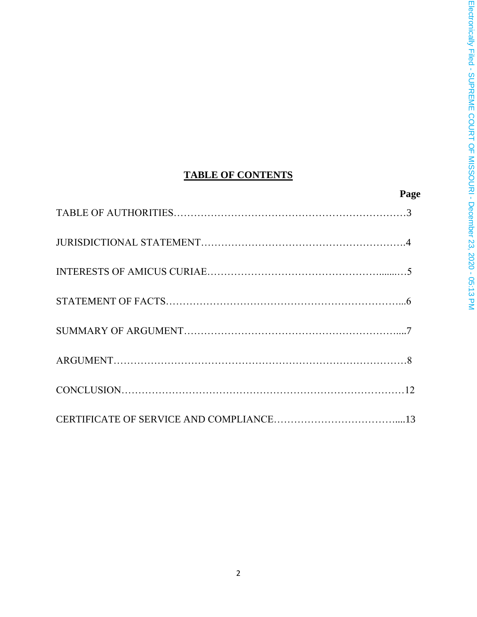# **TABLE OF CONTENTS**

# **Page**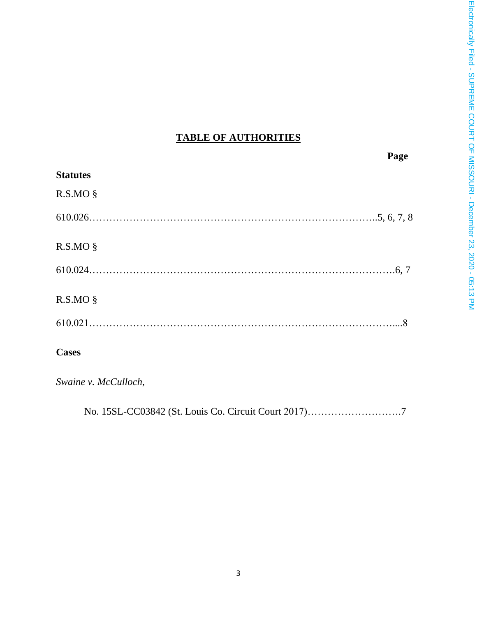## **TABLE OF AUTHORITIES**

|                 | Page |
|-----------------|------|
| <b>Statutes</b> |      |
| $R.S.MO$ §      |      |
|                 |      |
| R.S.MO §        |      |
|                 |      |
| $R.S.MO$ §      |      |
|                 |      |
| <b>Cases</b>    |      |

*Swaine v. McCulloch*,

No. 15SL-CC03842 (St. Louis Co. Circuit Court 2017)……………………….7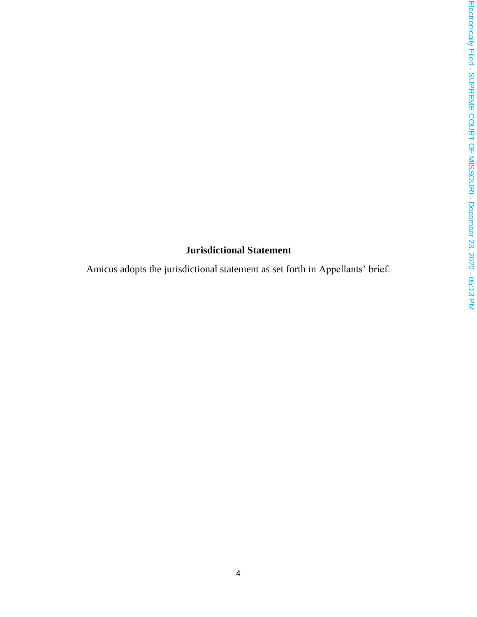## **Jurisdictional Statement**

Amicus adopts the jurisdictional statement as set forth in Appellants' brief.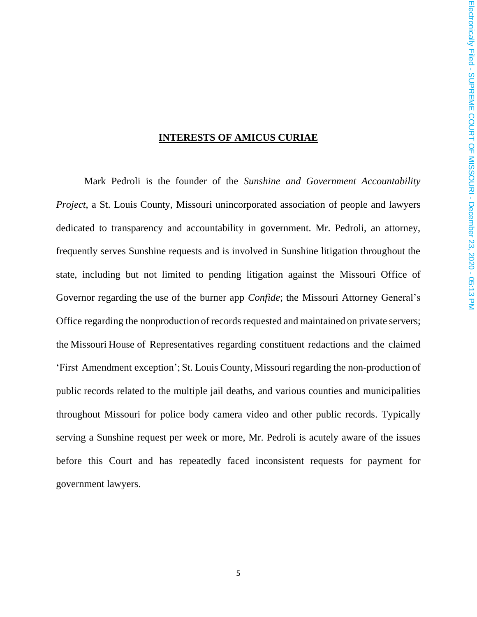#### **INTERESTS OF AMICUS CURIAE**

Mark Pedroli is the founder of the *Sunshine and Government Accountability Project*, a St. Louis County, Missouri unincorporated association of people and lawyers dedicated to transparency and accountability in government. Mr. Pedroli, an attorney, frequently serves Sunshine requests and is involved in Sunshine litigation throughout the state, including but not limited to pending litigation against the Missouri Office of Governor regarding the use of the burner app *Confide*; the Missouri Attorney General's Office regarding the nonproduction of records requested and maintained on private servers; the Missouri House of Representatives regarding constituent redactions and the claimed 'First Amendment exception'; St. Louis County, Missouri regarding the non-production of public records related to the multiple jail deaths, and various counties and municipalities throughout Missouri for police body camera video and other public records. Typically serving a Sunshine request per week or more, Mr. Pedroli is acutely aware of the issues before this Court and has repeatedly faced inconsistent requests for payment for government lawyers.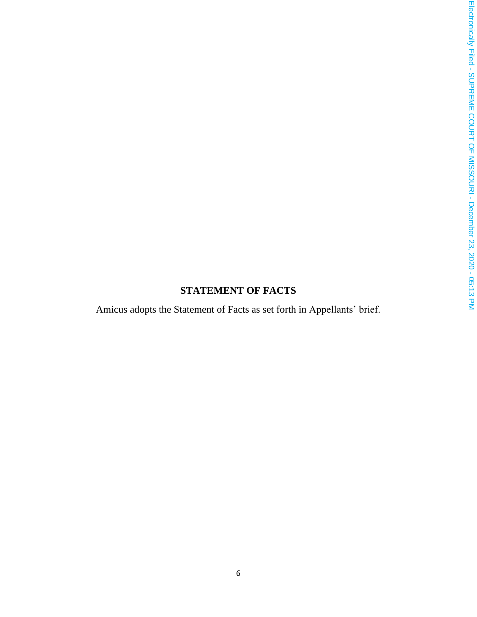## **STATEMENT OF FACTS**

Amicus adopts the Statement of Facts as set forth in Appellants' brief.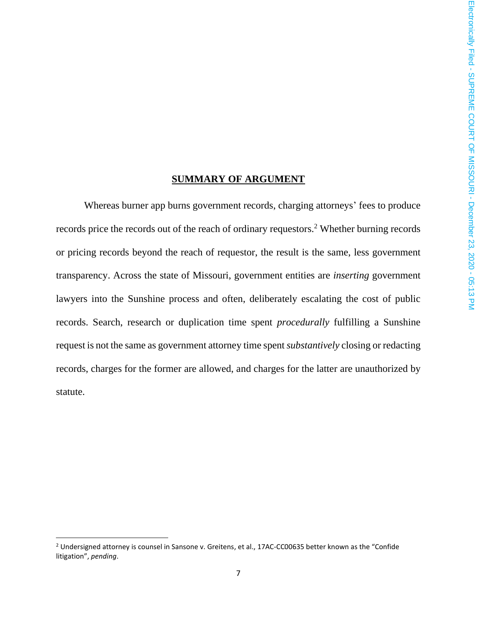### **SUMMARY OF ARGUMENT**

Whereas burner app burns government records, charging attorneys' fees to produce records price the records out of the reach of ordinary requestors. <sup>2</sup> Whether burning records or pricing records beyond the reach of requestor, the result is the same, less government transparency. Across the state of Missouri, government entities are *inserting* government lawyers into the Sunshine process and often, deliberately escalating the cost of public records. Search, research or duplication time spent *procedurally* fulfilling a Sunshine request is not the same as government attorney time spent *substantively* closing or redacting records, charges for the former are allowed, and charges for the latter are unauthorized by statute.

 $2$  Undersigned attorney is counsel in Sansone v. Greitens, et al., 17AC-CC00635 better known as the "Confide litigation", *pending*.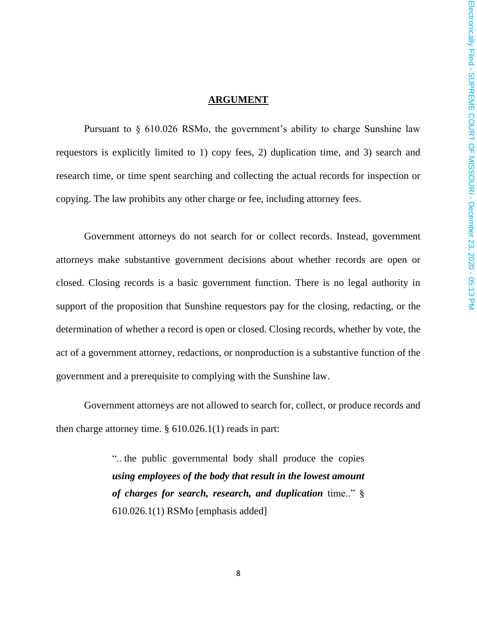#### **ARGUMENT**

Pursuant to § 610.026 RSMo, the government's ability to charge Sunshine law requestors is explicitly limited to 1) copy fees, 2) duplication time, and 3) search and research time, or time spent searching and collecting the actual records for inspection or copying. The law prohibits any other charge or fee, including attorney fees.

Government attorneys do not search for or collect records. Instead, government attorneys make substantive government decisions about whether records are open or closed. Closing records is a basic government function. There is no legal authority in support of the proposition that Sunshine requestors pay for the closing, redacting, or the determination of whether a record is open or closed. Closing records, whether by vote, the act of a government attorney, redactions, or nonproduction is a substantive function of the government and a prerequisite to complying with the Sunshine law.

Government attorneys are not allowed to search for, collect, or produce records and then charge attorney time. § 610.026.1(1) reads in part:

> ".. the public governmental body shall produce the copies *using employees of the body that result in the lowest amount of charges for search, research, and duplication* time.." § 610.026.1(1) RSMo [emphasis added]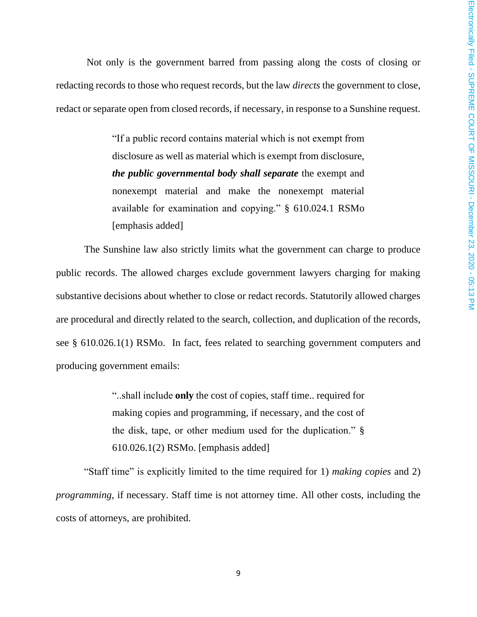Not only is the government barred from passing along the costs of closing or redacting records to those who request records, but the law *directs* the government to close, redact or separate open from closed records, if necessary, in response to a Sunshine request.

> "If a public record contains material which is not exempt from disclosure as well as material which is exempt from disclosure, *the public governmental body shall separate* the exempt and nonexempt material and make the nonexempt material available for examination and copying." § 610.024.1 RSMo [emphasis added]

The Sunshine law also strictly limits what the government can charge to produce public records. The allowed charges exclude government lawyers charging for making substantive decisions about whether to close or redact records. Statutorily allowed charges are procedural and directly related to the search, collection, and duplication of the records, see § 610.026.1(1) RSMo. In fact, fees related to searching government computers and producing government emails:

> "..shall include **only** the cost of copies, staff time.. required for making copies and programming, if necessary, and the cost of the disk, tape, or other medium used for the duplication." § 610.026.1(2) RSMo. [emphasis added]

"Staff time" is explicitly limited to the time required for 1) *making copies* and 2) *programming*, if necessary. Staff time is not attorney time. All other costs, including the costs of attorneys, are prohibited.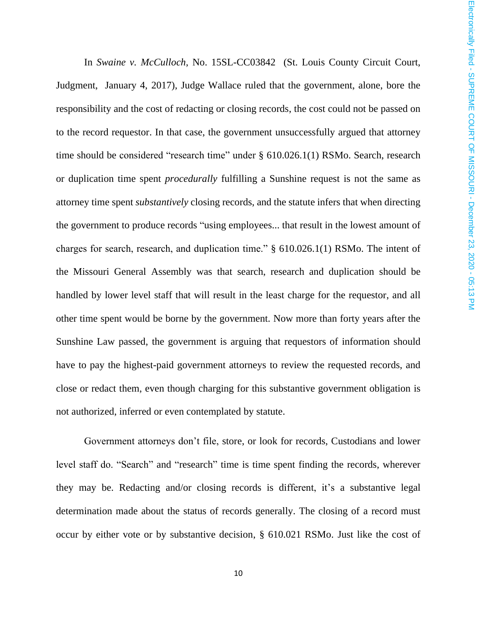In *Swaine v. McCulloch*, No. 15SL-CC03842 (St. Louis County Circuit Court, Judgment, January 4, 2017), Judge Wallace ruled that the government, alone, bore the responsibility and the cost of redacting or closing records, the cost could not be passed on to the record requestor. In that case, the government unsuccessfully argued that attorney time should be considered "research time" under § 610.026.1(1) RSMo. Search, research or duplication time spent *procedurally* fulfilling a Sunshine request is not the same as attorney time spent *substantively* closing records, and the statute infers that when directing the government to produce records "using employees... that result in the lowest amount of charges for search, research, and duplication time." § 610.026.1(1) RSMo. The intent of the Missouri General Assembly was that search, research and duplication should be handled by lower level staff that will result in the least charge for the requestor, and all other time spent would be borne by the government. Now more than forty years after the Sunshine Law passed, the government is arguing that requestors of information should have to pay the highest-paid government attorneys to review the requested records, and close or redact them, even though charging for this substantive government obligation is not authorized, inferred or even contemplated by statute.

Government attorneys don't file, store, or look for records, Custodians and lower level staff do. "Search" and "research" time is time spent finding the records, wherever they may be. Redacting and/or closing records is different, it's a substantive legal determination made about the status of records generally. The closing of a record must occur by either vote or by substantive decision, § 610.021 RSMo. Just like the cost of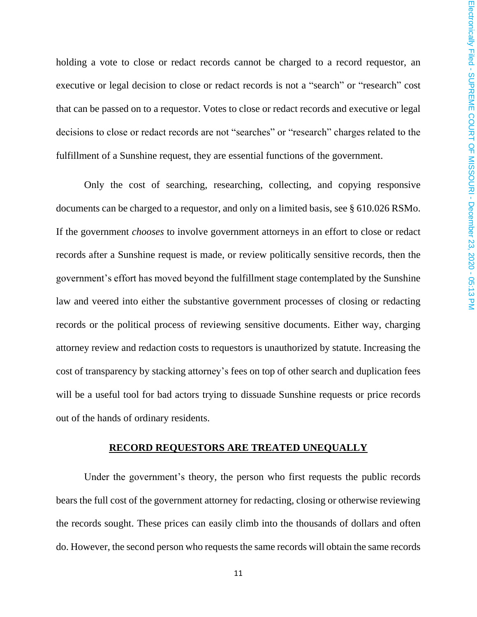holding a vote to close or redact records cannot be charged to a record requestor, an executive or legal decision to close or redact records is not a "search" or "research" cost that can be passed on to a requestor. Votes to close or redact records and executive or legal decisions to close or redact records are not "searches" or "research" charges related to the fulfillment of a Sunshine request, they are essential functions of the government.

Only the cost of searching, researching, collecting, and copying responsive documents can be charged to a requestor, and only on a limited basis, see § 610.026 RSMo. If the government *chooses* to involve government attorneys in an effort to close or redact records after a Sunshine request is made, or review politically sensitive records, then the government's effort has moved beyond the fulfillment stage contemplated by the Sunshine law and veered into either the substantive government processes of closing or redacting records or the political process of reviewing sensitive documents. Either way, charging attorney review and redaction costs to requestors is unauthorized by statute. Increasing the cost of transparency by stacking attorney's fees on top of other search and duplication fees will be a useful tool for bad actors trying to dissuade Sunshine requests or price records out of the hands of ordinary residents.

#### **RECORD REQUESTORS ARE TREATED UNEQUALLY**

Under the government's theory, the person who first requests the public records bears the full cost of the government attorney for redacting, closing or otherwise reviewing the records sought. These prices can easily climb into the thousands of dollars and often do. However, the second person who requests the same records will obtain the same records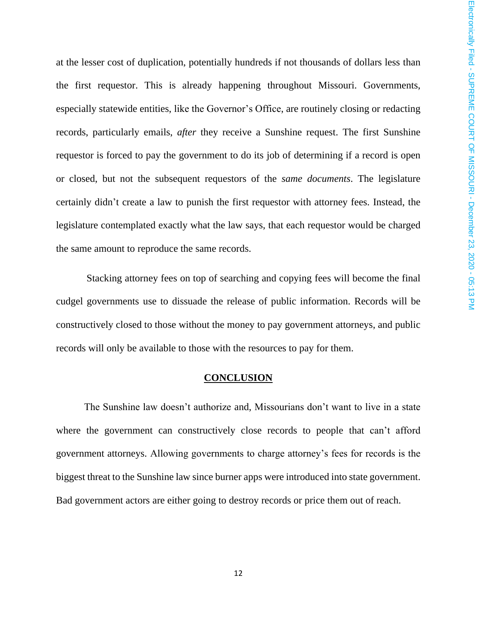at the lesser cost of duplication, potentially hundreds if not thousands of dollars less than the first requestor. This is already happening throughout Missouri. Governments, especially statewide entities, like the Governor's Office, are routinely closing or redacting records, particularly emails, *after* they receive a Sunshine request. The first Sunshine requestor is forced to pay the government to do its job of determining if a record is open or closed, but not the subsequent requestors of the *same documents*. The legislature certainly didn't create a law to punish the first requestor with attorney fees. Instead, the legislature contemplated exactly what the law says, that each requestor would be charged the same amount to reproduce the same records.

Stacking attorney fees on top of searching and copying fees will become the final cudgel governments use to dissuade the release of public information. Records will be constructively closed to those without the money to pay government attorneys, and public records will only be available to those with the resources to pay for them.

#### **CONCLUSION**

The Sunshine law doesn't authorize and, Missourians don't want to live in a state where the government can constructively close records to people that can't afford government attorneys. Allowing governments to charge attorney's fees for records is the biggest threat to the Sunshine law since burner apps were introduced into state government. Bad government actors are either going to destroy records or price them out of reach.